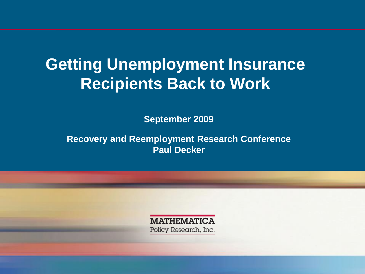# **Getting Unemployment Insurance Recipients Back to Work**

 **September 2009**

 **Paul Decker Recovery and Reemployment Research Conference**

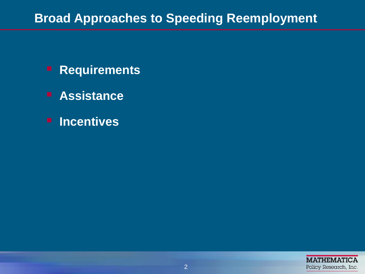#### **Broad Approaches to Speeding Reemployment**

- **Requirements**
- **Assistance**
- **Incentives**

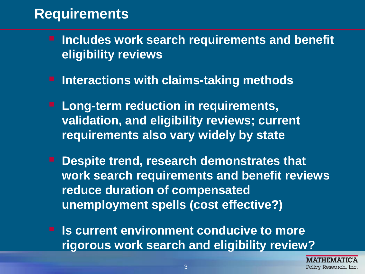## **Requirements**

- **Includes work search requirements and benefit eligibility reviews**
- **Interactions with claims-taking methods**
- **requirements also vary widely by state Long-term reduction in requirements, validation, and eligibility reviews; current**
- **Despite trend, research demonstrates that work search requirements and benefit reviews reduce duration of compensated unemployment spells (cost effective?)**
- **Is current environment conducive to more rigorous work search and eligibility review?**

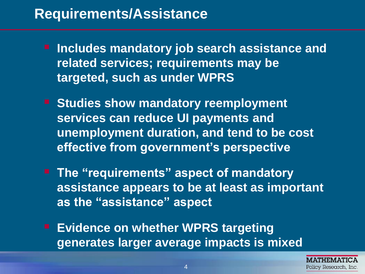## **Requirements/Assistance**

- **Includes mandatory job search assistance and related services; requirements may be targeted, such as under WPRS**
- **F** Studies show mandatory reemployment **services can reduce UI payments and unemployment duration, and tend to be cost effective from government's perspective**
- **The "requirements" aspect of mandatory assistance appears to be at least as important as the "assistance" aspect**
- **Evidence on whether WPRS targeting generates larger average impacts is mixed**

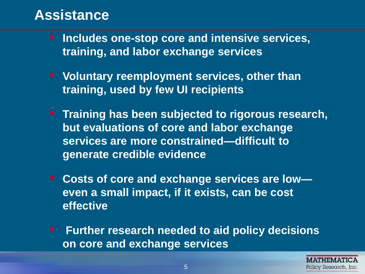### **Assistance**

- **Includes one-stop core and intensive services, training, and labor exchange services**
- **training, used by few UI recipients E** Voluntary reemployment services, other than
- **Training has been subjected to rigorous research, but evaluations of core and labor exchange services are more constrained—difficult to generate credible evidence**
- **Costs of core and exchange services are low even a small impact, if it exists, can be cost effective**
- **Further research needed to aid policy decisions on core and exchange services**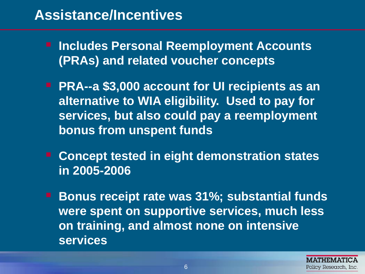## **Assistance/Incentives**

- **Includes Personal Reemployment Accounts (PRAs) and related voucher concepts**
- **PRA--a \$3,000 account for UI recipients as an alternative to WIA eligibility. Used to pay for services, but also could pay a reemployment bonus from unspent funds**
- Concept tested in eight demonstration states **in 2005-2006**
- **services Bonus receipt rate was 31%; substantial funds were spent on supportive services, much less on training, and almost none on intensive**

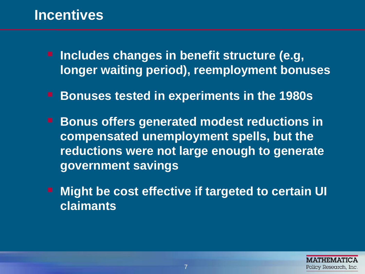### **Incentives**

- **Includes changes in benefit structure (e.g, longer waiting period), reemployment bonuses**
- **Bonuses tested in experiments in the 1980s**
- **Bonus offers generated modest reductions in compensated unemployment spells, but the reductions were not large enough to generate government savings**
- **Might be cost effective if targeted to certain UI claimants**